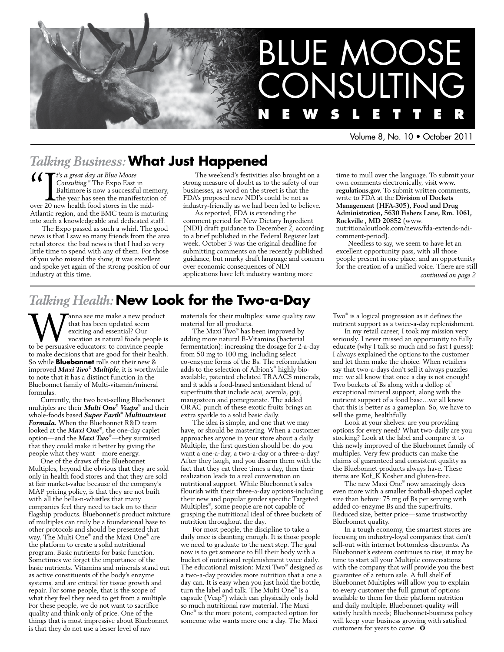

Volume 8, No. 10 • October 2011

## *Talking Business:* **What Just Happened**

**4 Consulting**." The Expo East is a great day at Blue Moose Consulting." The Expo East is alternative is now a successful the year has seen the manife over 20 new health food stores in the *Consulting."* The Expo East in Baltimore is now a successful memory, the year has seen the manifestation of over 20 new health food stores in the mid-Atlantic region, and the BMC team is maturing into such a knowledgeable and dedicated staff.

The Expo passed as such a whirl. The good news is that I saw so many friends from the area retail stores: the bad news is that I had so very little time to spend with any of them. For those of you who missed the show, it was excellent and spoke yet again of the strong position of our industry at this time.

The weekend's festivities also brought on a strong measure of doubt as to the safety of our businesses, as word on the street is that the FDA's proposed new NDI's could be not as industry-friendly as we had been led to believe.

As reported, FDA is extending the comment period for New Dietary Ingredient (NDI) draft guidance to December 2, according to a brief published in the Federal Register last week. October 3 was the original deadline for submitting comments on the recently published guidance, but murky draft language and concern over economic consequences of NDI applications have left industry wanting more

time to mull over the language. To submit your own comments electronically, visit **www. regulations.gov**. To submit written comments, write to FDA at the **Division of Dockets Management (HFA-305), Food and Drug Administration, 5630 Fishers Lane, Rm. 1061, Rockville , MD 20852** (www. nutritionaloutlook.com/news/fda-extends-ndicomment-period).

Needless to say, we seem to have let an excellent opportunity pass, with all those people present in one place, and an opportunity for the creation of a unified voice. There are still *continued on page 2*

## *Talking Health:* **New Look for the Two-a-Day**

**W** that has been updated seem<br>exciting and essential? Our<br>to be persuasive educators: to convince people that has been updated seem exciting and essential? Our vocation as natural foods people is to make decisions that are good for their health. So while **Bluebonnet** rolls out their new & improved *Maxi Two® Multiple*, it is worthwhile to note that it has a distinct function in the Bluebonnet family of Multi-vitamin/mineral formulas.

Currently, the two best-selling Bluebonnet multiples are their *Multi One® Vcaps*® and their whole-foods based *Super Earth® Multinutrient Formula.* When the Bluebonnet R&D team looked at the *Maxi One®* , the one-day caplet option—and the *Maxi Two*® —they surmised that they could make it better by giving the people what they want—more energy.

One of the draws of the Bluebonnet Multiples, beyond the obvious that they are sold only in health food stores and that they are sold at fair market-value because of the company's MAP pricing policy, is that they are not built with all the bells-n-whistles that many companies feel they need to tack on to their flagship products. Bluebonnet's product mixture of multiples can truly be a foundational base to other protocols and should be presented that way. The Multi One® and the Maxi One® are the platform to create a solid nutritional program. Basic nutrients for basic function. Sometimes we forget the importance of the basic nutrients. Vitamins and minerals stand out as active constituents of the body's enzyme systems, and are critical for tissue growth and repair. For some people, that is the scope of what they feel they need to get from a multiple. For these people, we do not want to sacrifice quality and think only of price. One of the things that is most impressive about Bluebonnet is that they do not use a lesser level of raw

materials for their multiples: same quality raw material for all products.

The Maxi Two® has been improved by adding more natural B-Vitamins (bacterial fermentation): increasing the dosage for 2-a-day from 50 mg to 100 mg, including select co-enzyme forms of the Bs. The reformulation adds to the selection of Albion's® highly bioavailable, patented chelated TRAACS minerals, and it adds a food-based antioxidant blend of superfruits that include acai, acerola, goji, mangosteen and pomegranate. The added ORAC punch of these exotic fruits brings an extra sparkle to a solid basic daily.

The idea is simple, and one that we may have, or should be mastering. When a customer approaches anyone in your store about a daily Multiple, the first question should be: do you want a one-a-day, a two-a-day or a three-a-day? After they laugh, and you disarm them with the fact that they eat three times a day, then their realization leads to a real conversation on nutritional support. While Bluebonnet's sales flourish with their three-a-day options-including their new and popular gender specific Targeted Multiples® , some people are not capable of grasping the nutritional ideal of three buckets of nutrition throughout the day.

For most people, the discipline to take a daily once is daunting enough. It is those people we need to graduate to the next step. The goal now is to get someone to fill their body with a bucket of nutritional replenishment twice daily. The educational mission: Maxi Two® designed as a two-a-day provides more nutrition that a one a day can. It is easy when you just hold the bottle, turn the label and talk. The Multi One® is a capsule (Vcap® ) which can physically only hold so much nutritional raw material. The Maxi One® is the more potent, compacted option for someone who wants more one a day. The Maxi

Two® is a logical progression as it defines the nutrient support as a twice-a-day replenishment.

In my retail career, I took my mission very seriously. I never missed an opportunity to fully educate (why I talk so much and so fast I guess): I always explained the options to the customer and let them make the choice. When retailers say that two-a-days don't sell it always puzzles me: we all know that once a day is not enough! Two buckets of Bs along with a dollop of exceptional mineral support, along with the nutrient support of a food base…we all know that this is better as a gameplan. So, we have to sell the game, healthfully.

Look at your shelves: are you providing options for every need? What two-daily are you stocking? Look at the label and compare it to this newly improved of the Bluebonnet family of multiples. Very few products can make the claims of guaranteed and consistent quality as the Bluebonnet products always have. These items are Kof\_K Kosher and gluten-free.

The new Maxi One® now amazingly does even more with a smaller football-shaped caplet size than before: 75 mg of Bs per serving with added co-enzyme Bs and the superfruits. Reduced size, better price—same trustworthy Bluebonnet quality.

In a tough economy, the smartest stores are focusing on industry-loyal companies that don't sell-out with internet bottomless discounts. As Bluebonnet's esteem continues to rise, it may be time to start all your Multiple conversations with the company that will provide you the best guarantee of a return sale. A full shelf of Bluebonnet Multiples will allow you to explain to every customer the full gamut of options available to them for their platform nutrition and daily multiple. Bluebonnet-quality will satisfy health needs; Bluebonnet-business policy will keep your business growing with satisfied customers for years to come.  $\odot$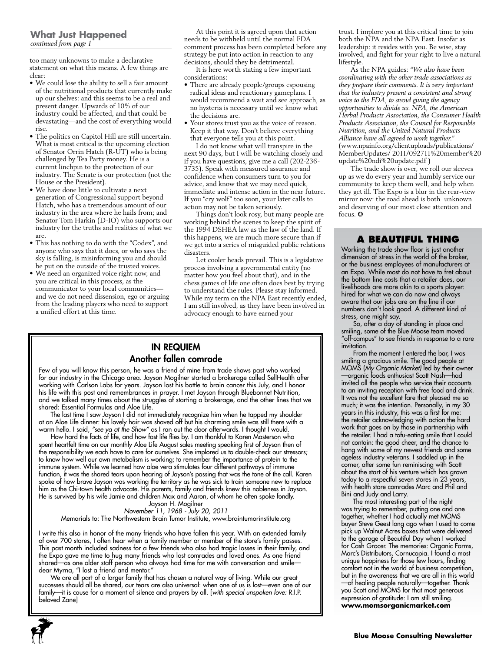too many unknowns to make a declarative statement on what this means. A few things are clear:

- • We could lose the ability to sell a fair amount of the nutritional products that currently make up our shelves: and this seems to be a real and present danger. Upwards of 10% of our industry could be affected, and that could be devastating—and the cost of everything would rise.
- • The politics on Capitol Hill are still uncertain. What is most critical is the upcoming election of Senator Orrin Hatch (R-UT) who is being challenged by Tea Party money. He is a current linchpin to the protection of our industry. The Senate is our protection (not the House or the President).
- • We have done little to cultivate a next generation of Congressional support beyond Hatch, who has a tremendous amount of our industry in the area where he hails from; and Senator Tom Harkin (D-IO) who supports our industry for the truths and realities of what we are.
- • This has nothing to do with the "Codex", and anyone who says that it does, or who says the sky is falling, is misinforming you and should be put on the outside of the trusted voices.
- • We need an organized voice right now, and you are critical in this process, as the communicator to your local communities and we do not need dissension, ego or arguing from the leading players who need to support a unified effort at this time.

At this point it is agreed upon that action needs to be withheld until the normal FDA comment process has been completed before any strategy be put into action in reaction to any decisions, should they be detrimental.

It is here worth stating a few important considerations:

- There are already people/groups espousing radical ideas and reactionary gameplans. I would recommend a wait and see approach, as no hysteria is necessary until we know what the decisions are.
- • Your stores trust you as the voice of reason. Keep it that way. Don't believe everything that everyone tells you at this point.

I do not know what will transpire in the next 90 days, but I will be watching closely and if you have questions, give me a call (202-236- 3735). Speak with measured assurance and confidence when consumers turn to you for advice, and know that we may need quick, immediate and intense action in the near future. If you "cry wolf" too soon, your later calls to action may not be taken seriously.

Things don't look rosy, but many people are working behind the scenes to keep the spirit of the 1994 DSHEA law as the law of the land. If this happens, we are much more secure than if we get into a series of misguided public relations disasters.

Let cooler heads prevail. This is a legislative process involving a governmental entity (no matter how you feel about that), and in the chess games of life one often does best by trying to understand the rules. Please stay informed. While my term on the NPA East recently ended, I am still involved, as they have been involved in advocacy enough to have earned your

## In Requiem Another fallen comrade

Few of you will know this person, he was a friend of mine from trade shows past who worked for our industry in the Chicago area. Jayson Mogilner started a brokerage called SellHealth after working with Carlson Labs for years. Jayson lost his battle to brain cancer this July, and I honor his life with this post and remembrances in prayer. I met Jayson through Bluebonnet Nutrition, and we talked many times about the struggles of starting a brokerage, and the other lines that we shared: Essential Formulas and Aloe Life.

The last time I saw Jayson I did not immediately recognize him when he tapped my shoulder at an Aloe Life dinner: his lovely hair was shaved off but his charming smile was still there with a warm hello. I said, *"see ya at the Show"* as I ran out the door afterwards. I thought I would.

How hard the facts of life, and how fast life flies by. I am thankful to Karen Masterson who spent heartfelt time on our monthly Aloe Life August sales meeting speaking first of Jayson then of the responsibility we each have to care for ourselves. She implored us to double-check our stressors; to know how well our own metabolism is working; to remember the importance of protein to the immune system. While we learned how aloe vera stimulates four different pathways of immune function, it was the shared tears upon hearing of Jayson's passing that was the tone of the call. Karen spoke of how brave Jayson was working the territory as he was sick to train someone new to replace him as the Chi-town health advocate. His parents, family and friends knew this nobleness in Jayson. He is survived by his wife Jamie and children Max and Aaron, of whom he often spoke fondly.

Jayson H. Mogilner *November 11, 1968 - July 20, 2011* Memorials to: The Northwestern Brain Tumor Institute, www.braintumorinstitute.org

I write this also in honor of the many friends who have fallen this year. With an extended family of over 700 stores, I often hear when a family member or member of the store's family passes. This past month included sadness for a few friends who also had tragic losses in their family, and the Expo gave me time to hug many friends who lost comrades and loved ones. As one friend shared—as one older staff person who always had time for me with conversation and smile dear Myrna, "I lost a friend and mentor."

We are all part of a larger family that has chosen a natural way of living. While our great successes should all be shared, our tears are also universal: when one of us is lost—even one of our family—it is cause for a moment of silence and prayers by all. [*with special unspoken love:* R.I.P. beloved Zane]



trust. I implore you at this critical time to join both the NPA and the NPA East. Insofar as leadership: it resides with you. Be wise, stay involved, and fight for your right to live a natural lifestyle.

As the NPA guides: *"We also have been coordinating with the other trade associations as they prepare their comments. It is very important that the industry present a consistent and strong voice to the FDA, to avoid giving the agency opportunities to divide us. NPA, the American Herbal Products Association, the Consumer Health Products Association, the Council for Responsible Nutrition, and the United Natural Products Alliance have all agreed to work together."*  (www.npainfo.org/clientuploads/publications/ MemberUpdates/ 2011/092711%20member%20 update%20ndi%20update.pdf )

The trade show is over, we roll our sleeves up as we do every year and humbly service our community to keep them well, and help when they get ill. The Expo is a blur in the rear-view mirror now: the road ahead is both unknown and deserving of our most close attention and focus. ❂

### **A Beautiful Thing**

Working the trade show floor is just another dimension of stress in the world of the broker, or the business employees of manufacturers at an Expo. While most do not have to fret about the bottom line costs that a retailer does, our livelihoods are more akin to a sports player: hired for what we can do now and always aware that our jobs are on the line if our numbers don't look good. A different kind of stress, one might say.

So, after a day of standing in place and smiling, some of the Blue Moose team moved "off-campus" to see friends in response to a rare invitation.

From the moment I entered the bar, I was smiling a gracious smile. The good people at MOMS (*My Organic Market)* led by their owner —organic foods enthusiast Scott Nash—had invited all the people who service their accounts to an inviting reception with free food and drink. It was not the excellent fare that pleased me so much; it was the intention. Personally, in my 30 years in this industry, this was a first for me: the retailer acknowledging with action the hard work that goes on by those in partnership with the retailer. I had a tofu-eating smile that I could not contain: the good cheer, and the chance to hang with some of my newest friends and some ageless industry veterans. I saddled up in the corner, after some fun reminiscing with Scott about the start of his venture which has grown today to a respectful seven stores in 23 years, with health store comrades Marc and Phil and Bini and Judy and Larry.

The most interesting part of the night was trying to remember, putting one and one together, whether I had actually met MOMS buyer Steve Geest long ago when I used to come pick up Walnut Acres boxes that were delivered to the garage of Beautiful Day when I worked for Cash Grocer. The memories: Organic Farms, Marc's Distributors, Cornucopia. I found a most unique happiness for those few hours, finding comfort not in the world of business competition but in the awareness that we are all in this world —of healing people naturally—together. Thank you Scott and MOMS for that most generous expression of gratitude: I am still smiling. **www.momsorganicmarket.com**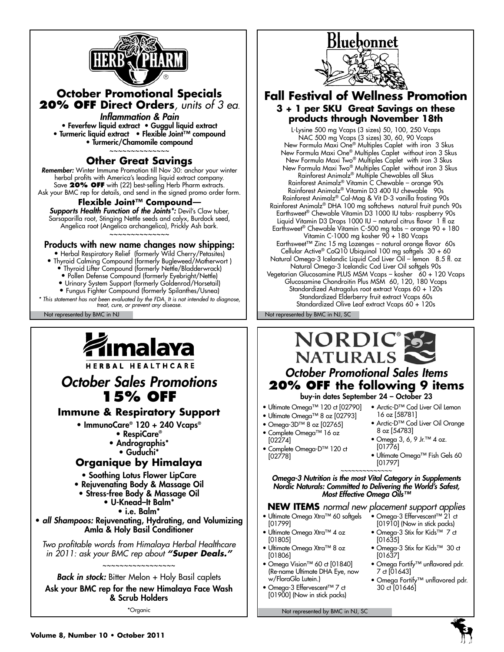

## **October Promotional Specials 20% OFF Direct Orders***, units of 3 ea.*

*Inflammation & Pain* • Feverfew liquid extract • Guggul liquid extract • Turmeric liquid extract • Flexible Joint™ compound • Turmeric/Chamomile compound ~~~~~~~~~~~~~~

### **Other Great Savings**

*Remember:* Winter Immune Promotion till Nov 30: anchor your winter herbal profits with America's leading liquid extract company. Save **20% OFF** with (22) best-selling Herb Pharm extracts. Ask your BMC rep for details, and send in the signed promo order form.

### **Flexible Joint™ Compound***—*

*Supports Health Function of the Joints\*:* Devil's Claw tuber, Sarsaparilla root, Stinging Nettle seeds and calyx, Burdock seed, Angelica root (Angelica archangelica), Prickly Ash bark. ~~~~~~~~~~~~~~

### Products with new name changes now shipping:

• Herbal Respiratory Relief (formerly Wild Cherry/Petasites) • Thyroid Calming Compound (formerly Bugleweed/Motherwort )

- Thyroid Lifter Compound (formerly Nettle/Bladderwrack)
- Pollen Defense Compound (formerly Eyebright/Nettle)
- Urinary System Support (formerly Goldenrod/Horsetail) • Fungus Fighter Compound (formerly Spilanthes/Usnea)

*\* This statement has not been evaluated by the FDA. It is not intended to diagnose, treat, cure, or prevent any disease.*



HERBAL HEALTHCARE

## *October Sales Promotions* **15% OFF**

## **Immune & Respiratory Support**

- ImmunoCare® 120 + 240 Vcaps®
	- RespiCare®
		- Andrographis\*
		- Guduchi\*

### **Organique by Himalaya**

• Soothing Lotus Flower LipCare

- Rejuvenating Body & Massage Oil
- Stress-free Body & Massage Oil
	- U-Knead–It Balm\*
		- i.e. Balm\*

• *all Shampoos:* Rejuvenating, Hydrating, and Volumizing Amla & Holy Basil Conditioner

*Two profitable words from Himalaya Herbal Healthcare in 2011: ask your BMC rep about "Super Deals."*

~~~~~~~~~~~~~~~~~ *Back in stock:* Bitter Melon + Holy Basil caplets

Ask your BMC rep for the new Himalaya Face Wash & Scrub Holders

\*Organic



## **Fall Festival of Wellness Promotion 3 + 1 per SKU Great Savings on these products through November 18th**

l-Lysine 500 mg Vcaps (3 sizes) 50, 100, 250 Vcaps NAC 500 mg Vcaps (3 sizes) 30, 60, 90 Vcaps New Formula Maxi One® Multiples Caplet with iron 3 Skus New Formula Maxi One® Multiples Caplet without iron 3 Skus New Formula Maxi Two® Multiples Caplet with iron 3 Skus New Formula Maxi Two® Multiples Caplet without iron 3 Skus Rainforest Animalz® Multiple Chewables all Skus Rainforest Animalz® Vitamin C Chewable – orange 90s Rainforest Animalz® Vitamin D3 400 IU chewable 90s Rainforest Animalz® Cal-Mag & Vit D-3 vanilla frosting 90s Rainforest Animalz® DHA 100 mg softchews natural fruit punch 90s Earthsweet® Chewable Vitamin D3 1000 IU tabs- raspberry 90s Liquid Vitamin D3 Drops 1000 IU – natural citrus flavor 1 fl oz Earthsweet® Chewable Vitamin C-500 mg tabs – orange 90 + 180 Vitamin C-1000 mg kosher 90 + 180 Vcaps Earthsweet™ Zinc 15 mg Lozenges – natural orange flavor 60s Cellular Active® CoQ10 Ubiquinol 100 mg softgels 30 + 60 Natural Omega-3 Icelandic Liquid Cod Liver Oil – lemon 8.5 fl. oz Natural Omega-3 Icelandic Cod Liver Oil softgels 90s Vegetarian Glucosamine PLUS MSM Vcaps – kosher 60 + 120 Vcaps Glucosamine Chondroitin Plus MSM 60, 120, 180 Vcaps Standardized Astragalus root extract Vcaps 60 + 120s Standardized Elderberry fruit extract Vcaps 60s Standardized Olive Leaf extract Vcaps 60 + 120s

Not represented by BMC in NJ Not represented by BMC in NJ, SC

## NORDIC® *October Promotional Sales Items* **20% OFF the following 9 items**  buy-in dates September 24 – October 23

- Ultimate Omega™ 120 ct [02790] Arctic-D™ Cod Liver Oil Lemon
- Ultimate Omega™ 8 oz [02793]
- Omega-3D™ 8 oz [02765]
- Complete Omega™ 16 oz
- [02274]
- Complete Omega-D™ 120 ct [02778]
- 16 oz [58781]
- Arctic-D™ Cod Liver Oil Orange 8 oz [54783]
- Omega 3, 6, 9 Jr.™ 4 oz. [01776]
- Ultimate Omega™ Fish Gels 60 [01797]

~~~~~~~~~~~~~~ *Omega-3 Nutrition is the most Vital Category in Supplements Nordic Naturals: Committed to Delivering the World's Safest, Most Effective Omega Oils™*

**NEW ITEMS** *normal new placement support applies*

- Ultimate Omega Xtra™ 60 softgels [01799]
- Ultimate Omega Xtra™ 4 oz [01805]
- Ultimate Omega Xtra™ 8 oz [01806]
- Omega Vision™ 60 ct [01840] (Re-name Ultimate DHA Eye, now w/FloraGlo Lutein.)
- Omega-3 Effervescent™ 7 ct [01900] (Now in stick packs)

Not represented by BMC in NJ, SC

- Omega-3 Effervescent™ 21 ct [01910] (Now in stick packs)
- Omega-3 Stix for Kids™ 7 ct [01635]
- Omega-3 Stix for Kids™ 30 ct [01637]
- Omega Fortify™ unflavored pdr. 7 ct [01643]
- Omega Fortify™ unflavored pdr. 30 ct [01646]

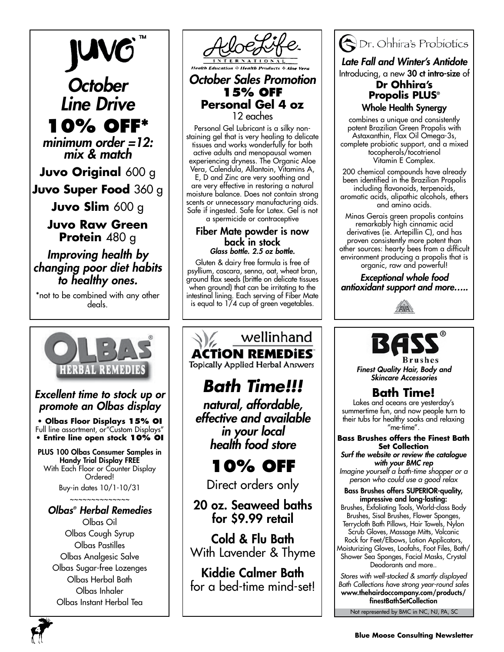*October Line Drive*

**10% OFF\*** *minimum order =12: mix & match*

**Juvo Original** 600 g

**Juvo Super Food** 360 g

**Juvo Slim** 600 g

**Juvo Raw Green Protein** 480 g

*Improving health by changing poor diet habits to healthy ones.*

\*not to be combined with any other deals.



## *Excellent time to stock up or promote an Olbas display*

**• Olbas Floor Displays 15% OI** Full line assortment, or"Custom Displays" **• Entire line open stock 10% OI**

PLUS 100 Olbas Consumer Samples in Handy Trial Display FREE With Each Floor or Counter Display Ordered!

Buy-in dates 10/1-10/31

### ~~~~~~~~~~~~~~ *Olbas® Herbal Remedies*

Olbas Oil Olbas Cough Syrup Olbas Pastilles Olbas Analgesic Salve Olbas Sugar-free Lozenges Olbas Herbal Bath Olbas Inhaler Olbas Instant Herbal Tea



*October Sales Promotion* **15% off Personal Gel 4 oz** 12 eaches

Personal Gel Lubricant is a silky nonstaining gel that is very healing to delicate tissues and works wonderfully for both active adults and menopausal women experiencing dryness. The Organic Aloe Vera, Calendula, Allantoin, Vitamins A,

E, D and Zinc are very soothing and are very effective in restoring a natural moisture balance. Does not contain strong scents or unnecessary manufacturing aids. Safe if ingested. Safe for Latex. Gel is not a spermicide or contraceptive

### Fiber Mate powder is now back in stock *Glass bottle. 2.5 oz bottle.*

Gluten & dairy free formula is free of psyllium, cascara, senna, oat, wheat bran, ground flax seeds (brittle on delicate tissues when ground) that can be irritating to the intestinal lining. Each serving of Fiber Mate is equal to 1/4 cup of green vegetables.

## wellinhand **ACTION REMEDIES**

**Topically Applied Herbal Answers** 

# *Bath Time!!!*

*natural, affordable, effective and available in your local health food store*

**10% OFF**

Direct orders only

## 20 oz. Seaweed baths for \$9.99 retail

Cold & Flu Bath With Lavender & Thyme

Kiddie Calmer Bath for a bed-time mind-set!



*Late Fall and Winter's Antidote* Introducing, a new 30 ct intro-size of

## **Dr Ohhira's Propolis PLUS®** Whole Health Synergy

combines a unique and consistently potent Brazilian Green Propolis with Astaxanthin, Flax Oil Omega-3s, complete probiotic support, and a mixed tocopherols/tocotrienol Vitamin E Complex.

200 chemical compounds have already been identified in the Brazilian Propolis including flavonoids, terpenoids, aromatic acids, alipathic alcohols, ethers and amino acids.

Minas Gerais green propolis contains remarkably high cinnamic acid derivatives (ie. Artepillin C), and has proven consistently more potent than other sources: hearty bees from a difficult environment producing a propolis that is organic, raw and powerful!

*Exceptional whole food antioxidant support and more…..*





*Finest Quality Hair, Body and Skincare Accessories*

## **Bath Time!**

Lakes and oceans are yesterday's summertime fun, and now people turn to their tubs for healthy soaks and relaxing  $"$ me-time $"$ .

### **Bass Brushes offers the Finest Bath Set Collection** *Surf the website or review the catalogue*

*with your BMC rep Imagine yourself a bath-time shopper or a person who could use a good relax*

### Bass Brushes offers SUPERIOR-quality, impressive and long-lasting:

Brushes, Exfoliating Tools, World-class Body Brushes, Sisal Brushes, Flower Sponges, Terrycloth Bath Pillows, Hair Towels, Nylon Scrub Gloves, Massage Mitts, Volcanic Rock for Feet/Elbows, Lotion Applicators,

Moisturizing Gloves, Loofahs, Foot Files, Bath/ Shower Sea Sponges, Facial Masks, Crystal Deodorants and more..

*Stores with well-stocked & smartly displayed Bath Collections have strong year-round sales* www.thehairdoccompany.com/products/ finestBathSetCollection

Not represented by BMC in NC, NJ, PA, SC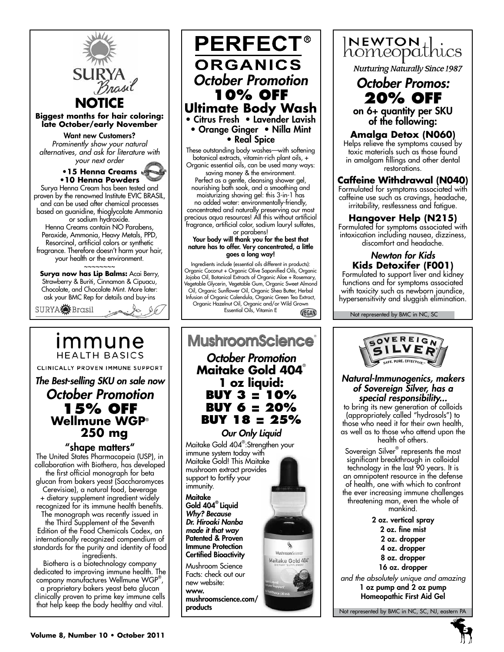

## immune **HEALTH BASICS** CLINICALLY PROVEN IMMUNE SUPPORT

## *The Best-selling SKU on sale now October Promotion* **15% OFF Wellmune WGP**®  **250 mg**

### "shape matters"

The United States Pharmacopeia (USP), in collaboration with Biothera, has developed the first official monograph for beta glucan from bakers yeast (Saccharomyces Cerevisiae), a natural food, beverage + dietary supplement ingredient widely recognized for its immune health benefits. The monograph was recently issued in the Third Supplement of the Seventh Edition of the Food Chemicals Codex, an internationally recognized compendium of standards for the purity and identity of food ingredients.

Biothera is a biotechnology company dedicated to improving immune health. The company manufactures Wellmune WGP® , a proprietary bakers yeast beta glucan

clinically proven to prime key immune cells that help keep the body healthy and vital.



These outstanding body washes—with softening botanical extracts, vitamin-rich plant oils, + Organic essential oils, can be used many ways:

saving money & the environment. Perfect as a gentle, cleansing shower gel, nourishing bath soak, and a smoothing and moisturizing shaving gel: this 3-in-1 has no added water: environmentally-friendly, concentrated and naturally preserving our most precious aqua resources! All this without artificial fragrance, artificial color, sodium lauryl sulfates,

or parabens! Your body will thank you for the best that nature has to offer. Very concentrated, a little goes a long way!

Ingredients include (essential oils different in products): Organic Coconut + Organic Olive Saponified Oils, Organic Jojoba Oil, Botanical Extracts of Organic Aloe + Rosemary, Vegetable Glycerin, Vegetable Gum, Organic Sweet Almond Oil, Organic Sunflower Oil, Organic Shea Butter, Herbal Infusion of Organic Calendula, Organic Green Tea Extract, Organic Hazelnut Oil, Organic and/or Wild Grown Essential Oils, Vitamin E VEGAN





**Nurturing Naturally Since 1987** 

## *October Promos:* **20% OFF**

on 6+ quantity per SKU of the following:

**Amalga Detox (N060)** Helps relieve the symptoms caused by toxic materials such as those found in amalgam fillings and other dental

restorations.

## **Caffeine Withdrawal (N040)**

Formulated for symptoms associated with caffeine use such as cravings, headache, irritability, restlessness and fatigue.

### **Hangover Help (N215)**

Formulated for symptoms associated with intoxication including nausea, dizziness, discomfort and headache.

## *Newton for Kids* **Kids Detoxifer (F001)**

Formulated to support liver and kidney functions and for symptoms associated with toxicity such as newborn jaundice, hypersensitivity and sluggish elimination.

Not represented by BMC in NC, SC



### *Natural-Immunogenics, makers of Sovereign Silver, has a special responsibility...*

to bring its new generation of colloids (appropriately called "hydrosols") to those who need it for their own health, as well as to those who attend upon the health of others.

Sovereign Silver® represents the most significant breakthrough in colloidal technology in the last 90 years. It is an omnipotent resource in the defense of health, one with which to confront the ever increasing immune challenges threatening man, even the whole of mankind.

2 oz. vertical spray 2 oz. fine mist 2 oz. dropper 4 oz. dropper 8 oz. dropper 16 oz. dropper *and the absolutely unique and amazing*

1 oz pump and 2 oz pump Homeopathic First Aid Gel

Not represented by BMC in NC, SC, NJ, eastern PA

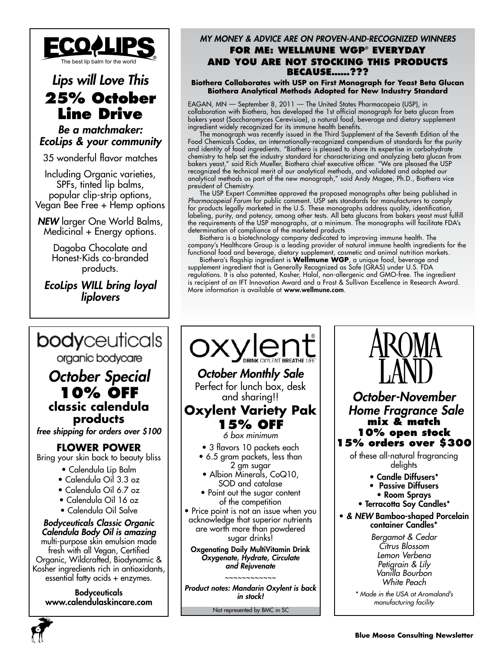

## *Lips will Love This* **25% October Line Drive**

## *Be a matchmaker: EcoLips & your community*

35 wonderful flavor matches

Including Organic varieties, SPFs, tinted lip balms, popular clip-strip options, Vegan Bee Free + Hemp options

*NEW* larger One World Balms, Medicinal + Energy options.

> Dagoba Chocolate and Honest-Kids co-branded products.

*EcoLips WILL bring loyal liplovers*

### *My Money & Advice are on Proven-and-Recognized Winners* **For me: Wellmune WGP***®* **Everyday and you are not stocking this products because……???**

**Biothera Collaborates with USP on First Monograph for Yeast Beta Glucan Biothera Analytical Methods Adopted for New Industry Standard**

EAGAN, MN — September 8, 2011 — The United States Pharmacopeia (USP), in collaboration with Biothera, has developed the 1st official monograph for beta glucan from bakers yeast (Saccharomyces Cerevisiae), a natural food, beverage and dietary supplement ingredient widely recognized for its immune health benefits.

The monograph was recently issued in the Third Supplement of the Seventh Edition of the Food Chemicals Codex, an internationally-recognized compendium of standards for the purity and identity of food ingredients. "Biothera is pleased to share its expertise in carbohydrate chemistry to help set the industry standard for characterizing and analyzing beta glucan from bakers yeast," said Rich Mueller, Biothera chief executive officer. "We are pleased the USP recognized the technical merit of our analytical methods, and validated and adopted our analytical methods as part of the new monograph," said Andy Magee, Ph.D., Biothera vice president of Chemistry.

The USP Expert Committee approved the proposed monographs after being published in *Pharmacopeial Forum* for public comment. USP sets standards for manufacturers to comply for products legally marketed in the U.S. These monographs address quality, identification, labeling, purity, and potency, among other tests. All beta glucans from bakers yeast must fulfill the requirements of the USP monographs, at a minimum. The monographs will facilitate FDA's determination of compliance of the marketed products

Biothera is a biotechnology company dedicated to improving immune health. The company's Healthcare Group is a leading provider of natural immune health ingredients for the functional food and beverage, dietary supplement, cosmetic and animal nutrition markets.

Biothera's flagship ingredient is **Wellmune WGP**, a unique food, beverage and supplement ingredient that is Generally Recognized as Safe (GRAS) under U.S. FDA regulations. It is also patented, Kosher, Halal, non-allergenic and GMO-free. The ingredient is recipient of an IFT Innovation Award and a Frost & Sullivan Excellence in Research Award. More information is available at www.wellmune.com.



**6**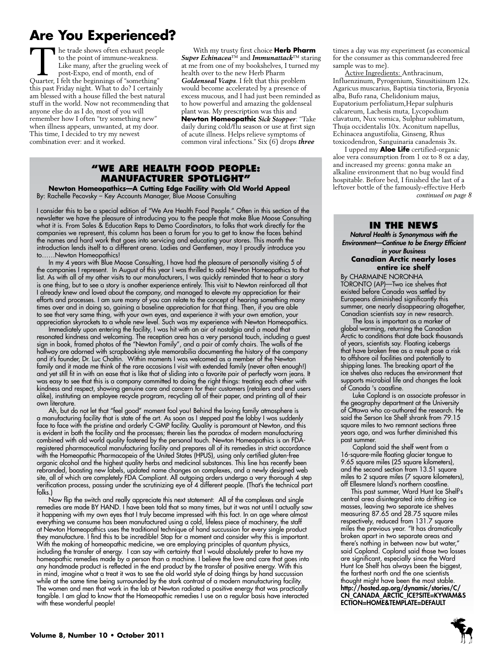## **Are You Experienced?**

The trade shows often exhaust people to the point of immune-weakness. Like many, after the grueling week of post-Expo, end of month, end of Quarter, I felt the beginnings of "something" this past Friday night. What to do? I certainly am blessed with a house filled the best natural stuff in the world. Now not recommending that anyone else do as I do, most of you will remember how I often "try something new" when illness appears, unwanted, at my door. This time, I decided to try my newest combination ever: and it worked.

With my trusty first choice **Herb Pharm** *Super Echinacea*™ and *Immunattack*™ staring at me from one of my bookshelves, I turned my health over to the new Herb Pharm *Goldenseal Vcaps*. I felt that this problem would become accelerated by a presence of excess mucous, and I had just been reminded as to how powerful and amazing the goldenseal plant was. My prescription was this and

**Newton Homeopathic** *Sick Stopper*: "Take daily during cold/flu season or use at first sign of acute illness. Helps relieve symptoms of common viral infections." Six (6) drops *three* 

### **"We Are health food people: Manufacturer spotlight"**

**Newton Homeopathics—A Cutting Edge Facility with Old World Appeal** By: Rachelle Pecovsky – Key Accounts Manager, Blue Moose Consulting

I consider this to be a special edition of "We Are Health Food People." Often in this section of the newsletter we have the pleasure of introducing you to the people that make Blue Moose Consulting what it is. From Sales & Education Reps to Demo Coordinators, to folks that work directly for the companies we represent, this column has been a forum for you to get to know the faces behind the names and hard work that goes into servicing and educating your stores. This month the introduction lends itself to a different arena. Ladies and Gentlemen, may I proudly introduce you to……Newton Homeopathics!

In my 4 years with Blue Moose Consulting, I have had the pleasure of personally visiting 5 of the companies I represent. In August of this year I was thrilled to add Newton Homeopathics to that list. As with all of my other visits to our manufacturers, I was quickly reminded that to hear a story is one thing, but to see a story is another experience entirely. This visit to Newton reinforced all that I already knew and loved about the company, and managed to elevate my appreciation for their efforts and processes. I am sure many of you can relate to the concept of hearing something many times over and in doing so, gaining a baseline appreciation for that thing. Then, if you are able to see that very same thing, with your own eyes, and experience it with your own emotion, your appreciation skyrockets to a whole new level. Such was my experience with Newton Homeopathics.

Immediately upon entering the facility, I was hit with an air of nostalgia and a mood that resonated kindness and welcoming. The reception area has a very personal touch, including a guest sign in book, framed photos of the "Newton Family", and a pair of comfy chairs. The walls of the hallway are adorned with scrapbooking style memorabilia documenting the history of the company and it's founder, Dr. Luc Chaltin. Within moments I was welcomed as a member of the Newton family and it made me think of the rare occasions I visit with extended family (never often enough!) and yet still fit in with an ease that is like that of sliding into a favorite pair of perfectly worn jeans. It was easy to see that this is a company committed to doing the right things: treating each other with kindness and respect, showing genuine care and concern for their customers (retailers and end users alike), instituting an employee recycle program, recycling all of their paper, and printing all of their own literature.

Ah, but do not let that "feel good" moment fool you! Behind the loving family atmosphere is a manufacturing facility that is state of the art. As soon as I stepped past the lobby I was suddenly face to face with the pristine and orderly C-GMP facility. Quality is paramount at Newton, and this is evident in both the facility and the processes; therein lies the paradox of modern manufacturing combined with old world quality fostered by the personal touch. Newton Homeopathics is an FDAregistered pharmaceutical manufacturing facility and prepares all of its remedies in strict accordance with the Homeopathic Pharmacopeia of the United States (HPUS), using only certified gluten-free organic alcohol and the highest quality herbs and medicinal substances. This line has recently been rebranded, boasting new labels, updated name changes on complexes, and a newly designed web site, all of which are completely FDA Compliant. All outgoing orders undergo a very thorough 4 step verification process, passing under the scrutinizing eye of 4 different people. (That's the technical part folks.)

Now flip the switch and really appreciate this next statement: All of the complexes and single remedies are made BY HAND. I have been told that so many times, but it was not until I actually saw it happening with my own eyes that I truly became impressed with this fact. In an age where almost everything we consume has been manufactured using a cold, lifeless piece of machinery, the staff at Newton Homeopathics uses the traditional technique of hand succussion for every single product they manufacture. I find this to be incredible! Stop for a moment and consider why this is important. With the making of homeopathic medicine, we are employing principles of quantum physics, including the transfer of energy. I can say with certainty that I would absolutely prefer to have my homeopathic remedies made by a person than a machine. I believe the love and care that goes into any handmade product is reflected in the end product by the transfer of positive energy. With this in mind, imagine what a treat it was to see the old world style of doing things by hand succussion while at the same time being surrounded by the stark contrast of a modern manufacturing facility. The women and men that work in the lab at Newton radiated a positive energy that was practically tangible. I am glad to know that the Homeopathic remedies I use on a regular basis have interacted with these wonderful people!

times a day was my experiment (as economical for the consumer as this commandeered free sample was to me).

Active Ingredients: Anthracinum, Influenzinum, Pyrogenium, Sinusitisinum 12x. Agaricus muscarius, Baptisia tinctoria, Bryonia alba, Bufo rana, Chelidonium majus, Eupatorium perfoliatum,Hepar sulphuris calcareum, Lachesis muta, Lycopodium clavatum, Nux vomica, Sulphur sublimatum, Thuja occidentalis 10x. Aconitum napellus, Echinacea angustifolia, Ginseng, Rhus toxicodendron, Sanguinaria canadensis 3x.

I upped my **Aloe Life** certified-organic aloe vera consumption from 1 oz to 8 oz a day, and increased my greens: gonna make an alkaline environment that no bug would find hospitable. Before bed, I finished the last of a leftover bottle of the famously-effective Herb *continued on page 8*

### **In the News**

*Natural Health is Synonymous with the Environment—Continue to be Energy Efficient in your Business* **Canadian Arctic nearly loses entire ice shelf**

By CHARMAINE NORONHA TORONTO (AP)—Two ice shelves that existed before Canada was settled by Europeans diminished significantly this summer, one nearly disappearing altogether, Canadian scientists say in new research.

The loss is important as a marker of global warming, returning the Canadian Arctic to conditions that date back thousands of years, scientists say. Floating icebergs that have broken free as a result pose a risk to offshore oil facilities and potentially to shipping lanes. The breaking apart of the ice shelves also reduces the environment that supports microbial life and changes the look of Canada 's coastline.

Luke Copland is an associate professor in the geography department at the University of Ottawa who co-authored the research. He said the Serson Ice Shelf shrank from 79.15 square miles to two remnant sections three years ago, and was further diminished this past summer.

Copland said the shelf went from a 16-square-mile floating glacier tongue to 9.65 square miles (25 square kilometers), and the second section from 13.51 square miles to 2 square miles (7 square kilometers), off Ellesmere Island's northern coastline.

 This past summer, Ward Hunt Ice Shelf's central area disintegrated into drifting ice masses, leaving two separate ice shelves measuring 87.65 and 28.75 square miles respectively, reduced from 131.7 square miles the previous year. "It has dramatically broken apart in two separate areas and there's nothing in between now but water," said Copland. Copland said those two losses are significant, especially since the Ward Hunt Ice Shelf has always been the biggest, the farthest north and the one scientists thought might have been the most stable. http://hosted.ap.org/dynamic/stories/C/ CN\_CANADA\_ARCTIC\_ICE?SITE=KYWAM&S ECTION=HOME&TEMPLATE=DEFAULT